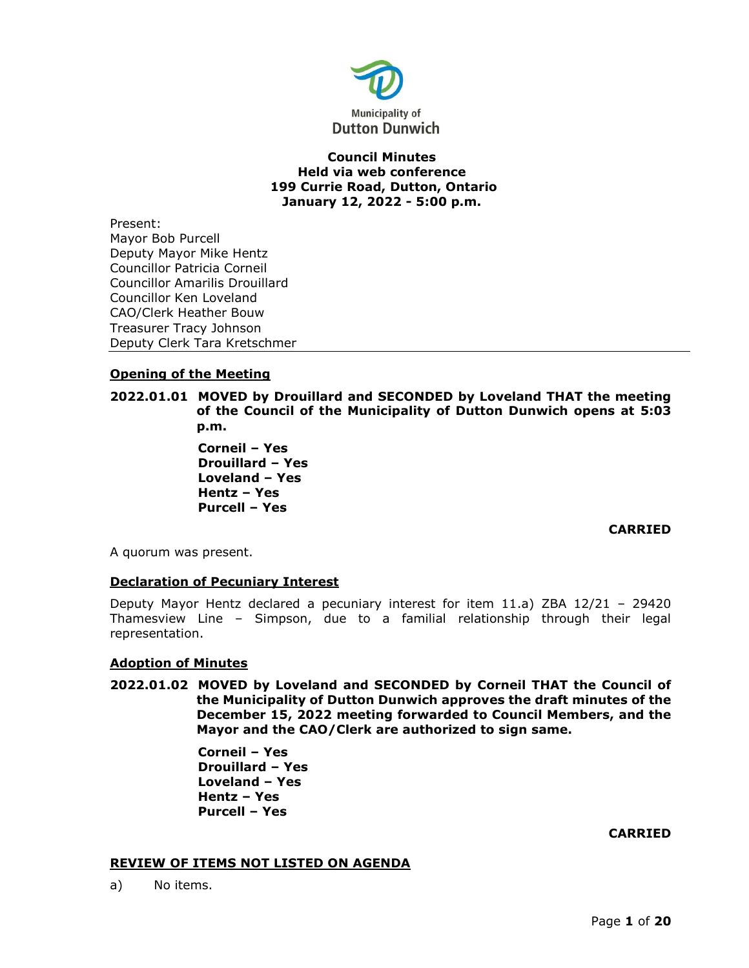

# **Council Minutes Held via web conference 199 Currie Road, Dutton, Ontario January 12, 2022 - 5:00 p.m.**

Present: Mayor Bob Purcell Deputy Mayor Mike Hentz Councillor Patricia Corneil Councillor Amarilis Drouillard Councillor Ken Loveland CAO/Clerk Heather Bouw Treasurer Tracy Johnson Deputy Clerk Tara Kretschmer

# **Opening of the Meeting**

**2022.01.01 MOVED by Drouillard and SECONDED by Loveland THAT the meeting of the Council of the Municipality of Dutton Dunwich opens at 5:03 p.m.**

> **Corneil – Yes Drouillard – Yes Loveland – Yes Hentz – Yes Purcell – Yes**

# **CARRIED**

A quorum was present.

# **Declaration of Pecuniary Interest**

Deputy Mayor Hentz declared a pecuniary interest for item 11.a) ZBA 12/21 – 29420 Thamesview Line – Simpson, due to a familial relationship through their legal representation.

# **Adoption of Minutes**

**2022.01.02 MOVED by Loveland and SECONDED by Corneil THAT the Council of the Municipality of Dutton Dunwich approves the draft minutes of the December 15, 2022 meeting forwarded to Council Members, and the Mayor and the CAO/Clerk are authorized to sign same.**

> **Corneil – Yes Drouillard – Yes Loveland – Yes Hentz – Yes Purcell – Yes**

## **CARRIED**

## **REVIEW OF ITEMS NOT LISTED ON AGENDA**

a) No items.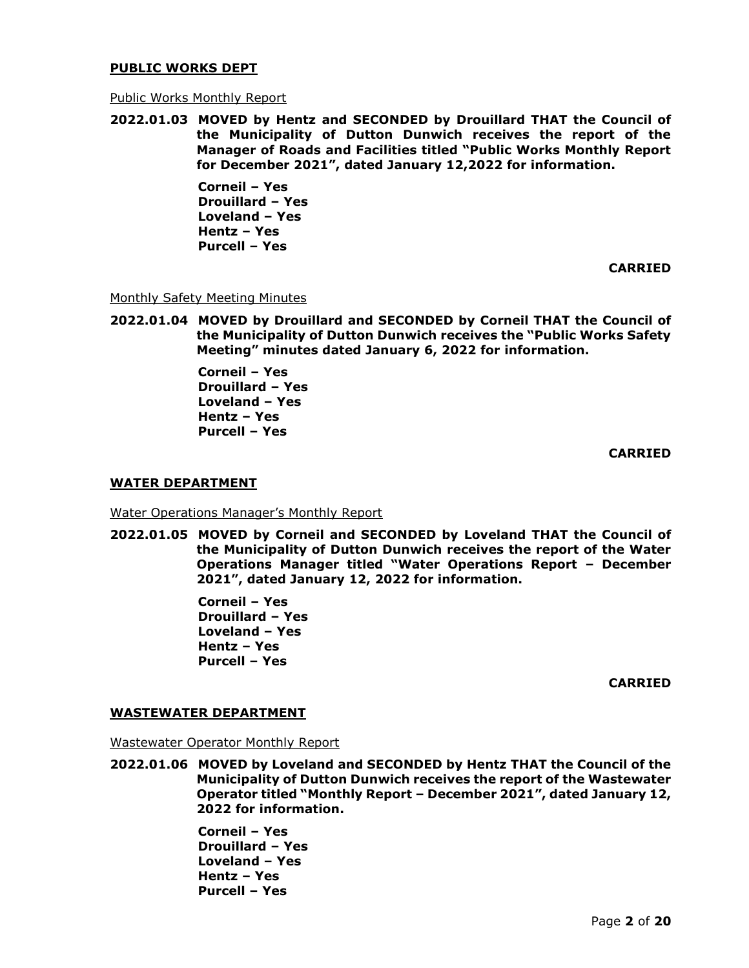#### **PUBLIC WORKS DEPT**

#### Public Works Monthly Report

**2022.01.03 MOVED by Hentz and SECONDED by Drouillard THAT the Council of the Municipality of Dutton Dunwich receives the report of the Manager of Roads and Facilities titled "Public Works Monthly Report for December 2021", dated January 12,2022 for information.** 

> **Corneil – Yes Drouillard – Yes Loveland – Yes Hentz – Yes Purcell – Yes**

> > **CARRIED**

Monthly Safety Meeting Minutes

**2022.01.04 MOVED by Drouillard and SECONDED by Corneil THAT the Council of the Municipality of Dutton Dunwich receives the "Public Works Safety Meeting" minutes dated January 6, 2022 for information.**

> **Corneil – Yes Drouillard – Yes Loveland – Yes Hentz – Yes Purcell – Yes**

> > **CARRIED**

#### **WATER DEPARTMENT**

Water Operations Manager's Monthly Report

**2022.01.05 MOVED by Corneil and SECONDED by Loveland THAT the Council of the Municipality of Dutton Dunwich receives the report of the Water Operations Manager titled "Water Operations Report – December 2021", dated January 12, 2022 for information.**

> **Corneil – Yes Drouillard – Yes Loveland – Yes Hentz – Yes Purcell – Yes**

> > **CARRIED**

#### **WASTEWATER DEPARTMENT**

Wastewater Operator Monthly Report

**2022.01.06 MOVED by Loveland and SECONDED by Hentz THAT the Council of the Municipality of Dutton Dunwich receives the report of the Wastewater Operator titled "Monthly Report – December 2021", dated January 12, 2022 for information.** 

> **Corneil – Yes Drouillard – Yes Loveland – Yes Hentz – Yes Purcell – Yes**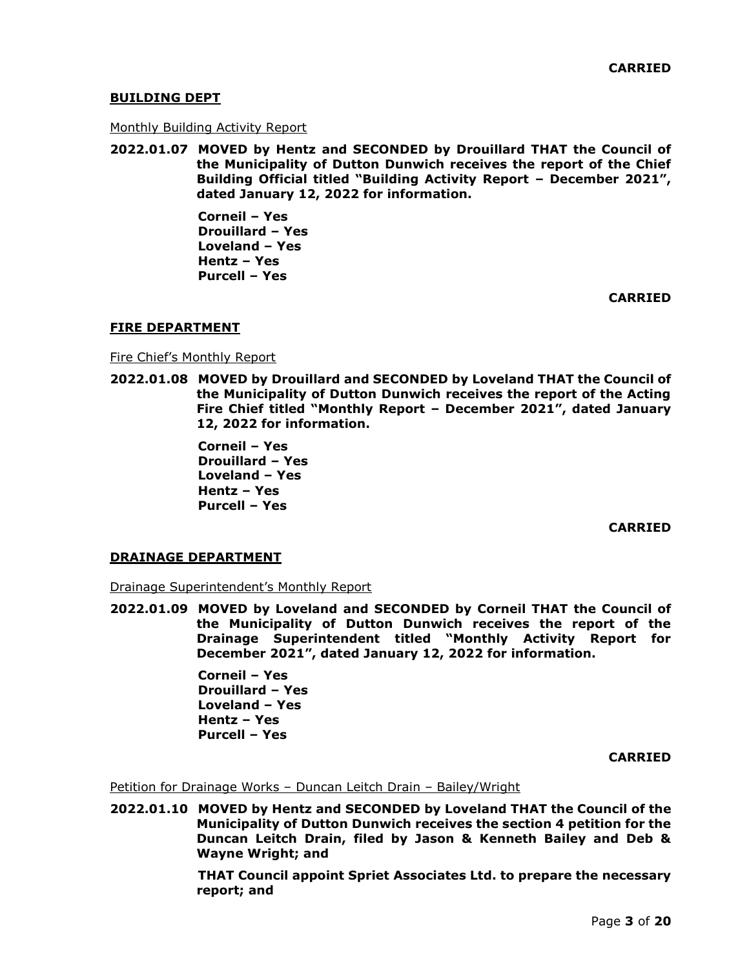# **BUILDING DEPT**

#### Monthly Building Activity Report

**2022.01.07 MOVED by Hentz and SECONDED by Drouillard THAT the Council of the Municipality of Dutton Dunwich receives the report of the Chief Building Official titled "Building Activity Report – December 2021", dated January 12, 2022 for information.** 

> **Corneil – Yes Drouillard – Yes Loveland – Yes Hentz – Yes Purcell – Yes**

> > **CARRIED**

## **FIRE DEPARTMENT**

Fire Chief's Monthly Report

**2022.01.08 MOVED by Drouillard and SECONDED by Loveland THAT the Council of the Municipality of Dutton Dunwich receives the report of the Acting Fire Chief titled "Monthly Report – December 2021", dated January 12, 2022 for information.** 

> **Corneil – Yes Drouillard – Yes Loveland – Yes Hentz – Yes Purcell – Yes**

> > **CARRIED**

## **DRAINAGE DEPARTMENT**

Drainage Superintendent's Monthly Report

**2022.01.09 MOVED by Loveland and SECONDED by Corneil THAT the Council of the Municipality of Dutton Dunwich receives the report of the Drainage Superintendent titled "Monthly Activity Report for December 2021", dated January 12, 2022 for information.** 

> **Corneil – Yes Drouillard – Yes Loveland – Yes Hentz – Yes Purcell – Yes**

> > **CARRIED**

Petition for Drainage Works – Duncan Leitch Drain – Bailey/Wright

**2022.01.10 MOVED by Hentz and SECONDED by Loveland THAT the Council of the Municipality of Dutton Dunwich receives the section 4 petition for the Duncan Leitch Drain, filed by Jason & Kenneth Bailey and Deb & Wayne Wright; and**

> **THAT Council appoint Spriet Associates Ltd. to prepare the necessary report; and**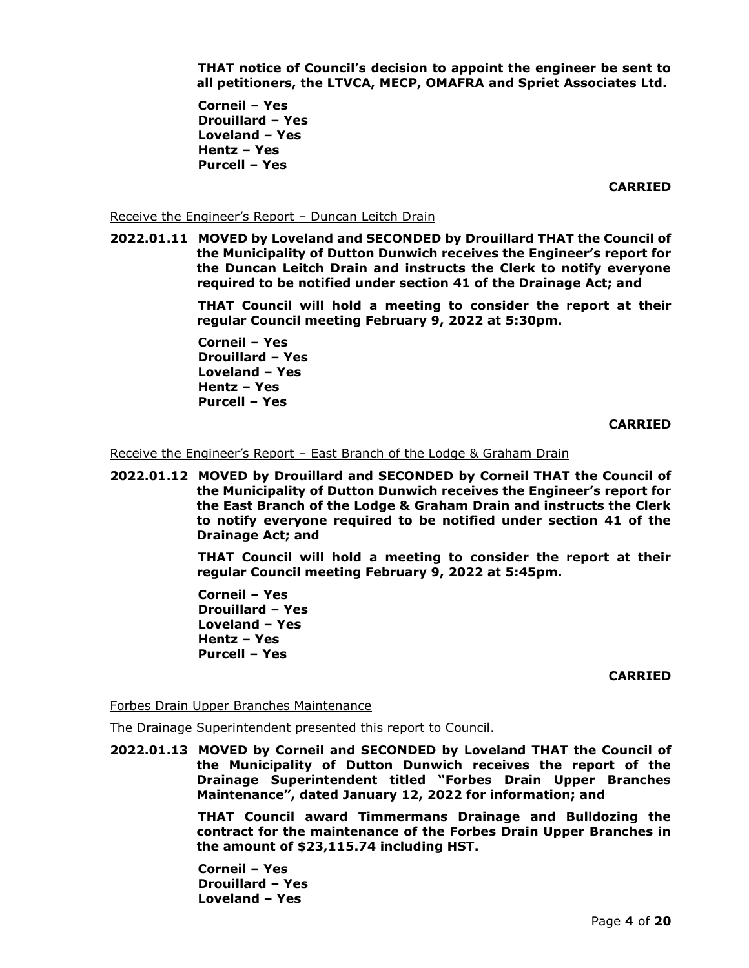**THAT notice of Council's decision to appoint the engineer be sent to all petitioners, the LTVCA, MECP, OMAFRA and Spriet Associates Ltd.**

**Corneil – Yes Drouillard – Yes Loveland – Yes Hentz – Yes Purcell – Yes** 

**CARRIED**

Receive the Engineer's Report – Duncan Leitch Drain

**2022.01.11 MOVED by Loveland and SECONDED by Drouillard THAT the Council of the Municipality of Dutton Dunwich receives the Engineer's report for the Duncan Leitch Drain and instructs the Clerk to notify everyone required to be notified under section 41 of the Drainage Act; and**

> **THAT Council will hold a meeting to consider the report at their regular Council meeting February 9, 2022 at 5:30pm.**

**Corneil – Yes Drouillard – Yes Loveland – Yes Hentz – Yes Purcell – Yes** 

**CARRIED**

Receive the Engineer's Report – East Branch of the Lodge & Graham Drain

**2022.01.12 MOVED by Drouillard and SECONDED by Corneil THAT the Council of the Municipality of Dutton Dunwich receives the Engineer's report for the East Branch of the Lodge & Graham Drain and instructs the Clerk to notify everyone required to be notified under section 41 of the Drainage Act; and**

> **THAT Council will hold a meeting to consider the report at their regular Council meeting February 9, 2022 at 5:45pm.**

**Corneil – Yes Drouillard – Yes Loveland – Yes Hentz – Yes Purcell – Yes** 

**CARRIED**

Forbes Drain Upper Branches Maintenance

The Drainage Superintendent presented this report to Council.

**2022.01.13 MOVED by Corneil and SECONDED by Loveland THAT the Council of the Municipality of Dutton Dunwich receives the report of the Drainage Superintendent titled "Forbes Drain Upper Branches Maintenance", dated January 12, 2022 for information; and**

> **THAT Council award Timmermans Drainage and Bulldozing the contract for the maintenance of the Forbes Drain Upper Branches in the amount of \$23,115.74 including HST.**

**Corneil – Yes Drouillard – Yes Loveland – Yes**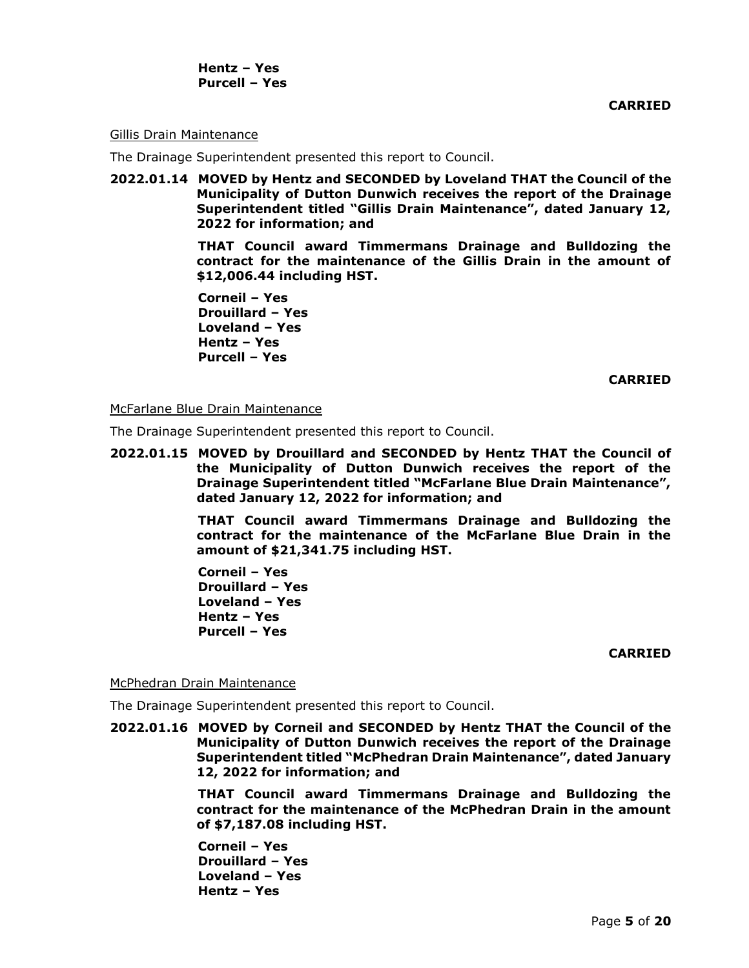**CARRIED**

#### Gillis Drain Maintenance

The Drainage Superintendent presented this report to Council.

**2022.01.14 MOVED by Hentz and SECONDED by Loveland THAT the Council of the Municipality of Dutton Dunwich receives the report of the Drainage Superintendent titled "Gillis Drain Maintenance", dated January 12, 2022 for information; and**

> **THAT Council award Timmermans Drainage and Bulldozing the contract for the maintenance of the Gillis Drain in the amount of \$12,006.44 including HST.**

**Corneil – Yes Drouillard – Yes Loveland – Yes Hentz – Yes Purcell – Yes** 

#### **CARRIED**

#### McFarlane Blue Drain Maintenance

The Drainage Superintendent presented this report to Council.

**2022.01.15 MOVED by Drouillard and SECONDED by Hentz THAT the Council of the Municipality of Dutton Dunwich receives the report of the Drainage Superintendent titled "McFarlane Blue Drain Maintenance", dated January 12, 2022 for information; and**

> **THAT Council award Timmermans Drainage and Bulldozing the contract for the maintenance of the McFarlane Blue Drain in the amount of \$21,341.75 including HST.**

**Corneil – Yes Drouillard – Yes Loveland – Yes Hentz – Yes Purcell – Yes** 

#### **CARRIED**

#### McPhedran Drain Maintenance

The Drainage Superintendent presented this report to Council.

**2022.01.16 MOVED by Corneil and SECONDED by Hentz THAT the Council of the Municipality of Dutton Dunwich receives the report of the Drainage Superintendent titled "McPhedran Drain Maintenance", dated January 12, 2022 for information; and**

> **THAT Council award Timmermans Drainage and Bulldozing the contract for the maintenance of the McPhedran Drain in the amount of \$7,187.08 including HST.**

**Corneil – Yes Drouillard – Yes Loveland – Yes Hentz – Yes**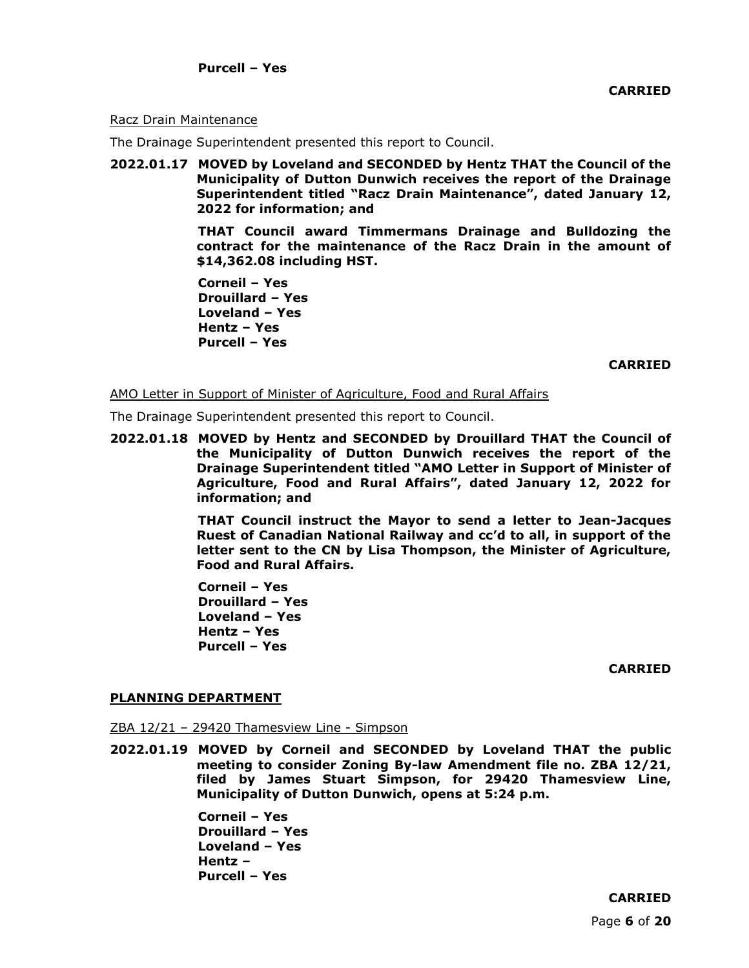## Racz Drain Maintenance

The Drainage Superintendent presented this report to Council.

**2022.01.17 MOVED by Loveland and SECONDED by Hentz THAT the Council of the Municipality of Dutton Dunwich receives the report of the Drainage Superintendent titled "Racz Drain Maintenance", dated January 12, 2022 for information; and**

> **THAT Council award Timmermans Drainage and Bulldozing the contract for the maintenance of the Racz Drain in the amount of \$14,362.08 including HST.**

**Corneil – Yes Drouillard – Yes Loveland – Yes Hentz – Yes Purcell – Yes** 

**CARRIED**

AMO Letter in Support of Minister of Agriculture, Food and Rural Affairs

The Drainage Superintendent presented this report to Council.

**2022.01.18 MOVED by Hentz and SECONDED by Drouillard THAT the Council of the Municipality of Dutton Dunwich receives the report of the Drainage Superintendent titled "AMO Letter in Support of Minister of Agriculture, Food and Rural Affairs", dated January 12, 2022 for information; and**

> **THAT Council instruct the Mayor to send a letter to Jean-Jacques Ruest of Canadian National Railway and cc'd to all, in support of the letter sent to the CN by Lisa Thompson, the Minister of Agriculture, Food and Rural Affairs.**

**Corneil – Yes Drouillard – Yes Loveland – Yes Hentz – Yes Purcell – Yes** 

**CARRIED**

## **PLANNING DEPARTMENT**

ZBA 12/21 – 29420 Thamesview Line - Simpson

**2022.01.19 MOVED by Corneil and SECONDED by Loveland THAT the public meeting to consider Zoning By-law Amendment file no. ZBA 12/21, filed by James Stuart Simpson, for 29420 Thamesview Line, Municipality of Dutton Dunwich, opens at 5:24 p.m.**

> **Corneil – Yes Drouillard – Yes Loveland – Yes Hentz – Purcell – Yes**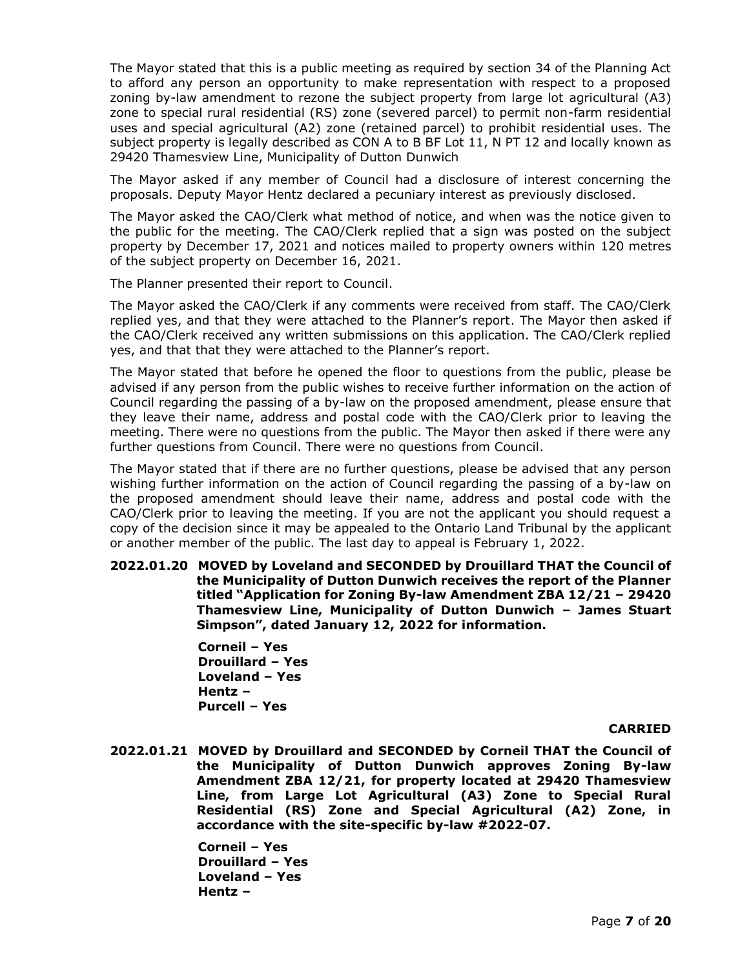The Mayor stated that this is a public meeting as required by section 34 of the Planning Act to afford any person an opportunity to make representation with respect to a proposed zoning by-law amendment to rezone the subject property from large lot agricultural (A3) zone to special rural residential (RS) zone (severed parcel) to permit non-farm residential uses and special agricultural (A2) zone (retained parcel) to prohibit residential uses. The subject property is legally described as CON A to B BF Lot 11, N PT 12 and locally known as 29420 Thamesview Line, Municipality of Dutton Dunwich

The Mayor asked if any member of Council had a disclosure of interest concerning the proposals. Deputy Mayor Hentz declared a pecuniary interest as previously disclosed.

The Mayor asked the CAO/Clerk what method of notice, and when was the notice given to the public for the meeting. The CAO/Clerk replied that a sign was posted on the subject property by December 17, 2021 and notices mailed to property owners within 120 metres of the subject property on December 16, 2021.

The Planner presented their report to Council.

The Mayor asked the CAO/Clerk if any comments were received from staff. The CAO/Clerk replied yes, and that they were attached to the Planner's report. The Mayor then asked if the CAO/Clerk received any written submissions on this application. The CAO/Clerk replied yes, and that that they were attached to the Planner's report.

The Mayor stated that before he opened the floor to questions from the public, please be advised if any person from the public wishes to receive further information on the action of Council regarding the passing of a by-law on the proposed amendment, please ensure that they leave their name, address and postal code with the CAO/Clerk prior to leaving the meeting. There were no questions from the public. The Mayor then asked if there were any further questions from Council. There were no questions from Council.

The Mayor stated that if there are no further questions, please be advised that any person wishing further information on the action of Council regarding the passing of a by-law on the proposed amendment should leave their name, address and postal code with the CAO/Clerk prior to leaving the meeting. If you are not the applicant you should request a copy of the decision since it may be appealed to the Ontario Land Tribunal by the applicant or another member of the public. The last day to appeal is February 1, 2022.

**2022.01.20 MOVED by Loveland and SECONDED by Drouillard THAT the Council of the Municipality of Dutton Dunwich receives the report of the Planner titled "Application for Zoning By-law Amendment ZBA 12/21 – 29420 Thamesview Line, Municipality of Dutton Dunwich – James Stuart Simpson", dated January 12, 2022 for information.**

> **Corneil – Yes Drouillard – Yes Loveland – Yes Hentz – Purcell – Yes**

## **CARRIED**

**2022.01.21 MOVED by Drouillard and SECONDED by Corneil THAT the Council of the Municipality of Dutton Dunwich approves Zoning By-law Amendment ZBA 12/21, for property located at 29420 Thamesview Line, from Large Lot Agricultural (A3) Zone to Special Rural Residential (RS) Zone and Special Agricultural (A2) Zone, in accordance with the site-specific by-law #2022-07.**

> **Corneil – Yes Drouillard – Yes Loveland – Yes Hentz –**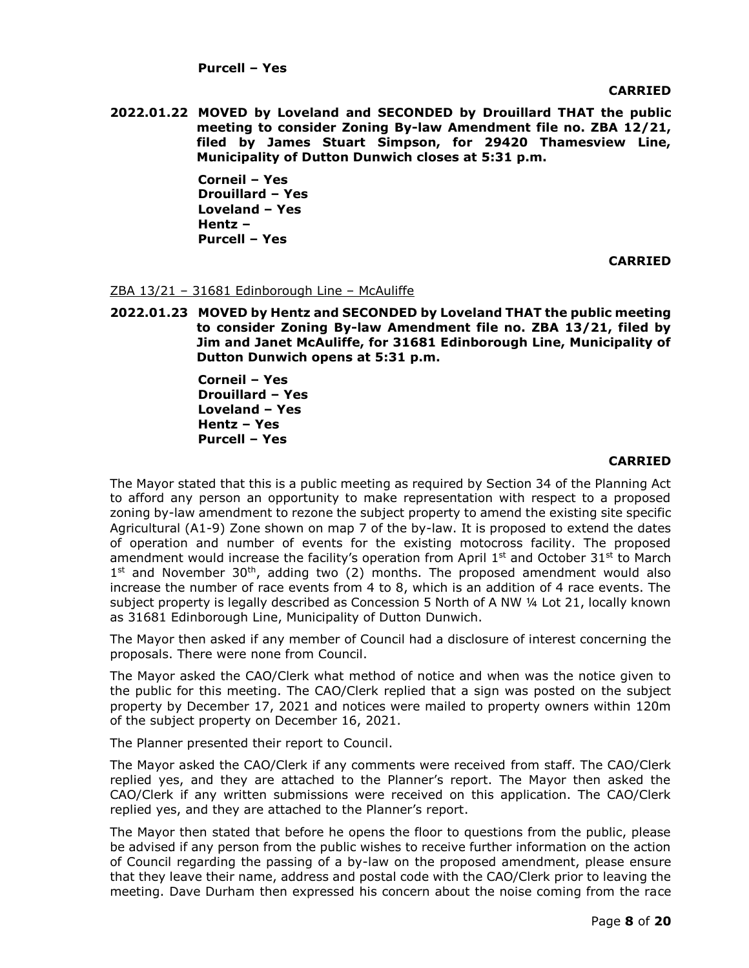**Purcell – Yes** 

**CARRIED**

**2022.01.22 MOVED by Loveland and SECONDED by Drouillard THAT the public meeting to consider Zoning By-law Amendment file no. ZBA 12/21, filed by James Stuart Simpson, for 29420 Thamesview Line, Municipality of Dutton Dunwich closes at 5:31 p.m.**

> **Corneil – Yes Drouillard – Yes Loveland – Yes Hentz – Purcell – Yes**

> > **CARRIED**

## ZBA 13/21 – 31681 Edinborough Line – McAuliffe

**2022.01.23 MOVED by Hentz and SECONDED by Loveland THAT the public meeting to consider Zoning By-law Amendment file no. ZBA 13/21, filed by Jim and Janet McAuliffe, for 31681 Edinborough Line, Municipality of Dutton Dunwich opens at 5:31 p.m.**

> **Corneil – Yes Drouillard – Yes Loveland – Yes Hentz – Yes Purcell – Yes**

# **CARRIED**

The Mayor stated that this is a public meeting as required by Section 34 of the Planning Act to afford any person an opportunity to make representation with respect to a proposed zoning by-law amendment to rezone the subject property to amend the existing site specific Agricultural (A1-9) Zone shown on map 7 of the by-law. It is proposed to extend the dates of operation and number of events for the existing motocross facility. The proposed amendment would increase the facility's operation from April  $1<sup>st</sup>$  and October 31<sup>st</sup> to March  $1<sup>st</sup>$  and November 30<sup>th</sup>, adding two (2) months. The proposed amendment would also increase the number of race events from 4 to 8, which is an addition of 4 race events. The subject property is legally described as Concession 5 North of A NW ¼ Lot 21, locally known as 31681 Edinborough Line, Municipality of Dutton Dunwich.

The Mayor then asked if any member of Council had a disclosure of interest concerning the proposals. There were none from Council.

The Mayor asked the CAO/Clerk what method of notice and when was the notice given to the public for this meeting. The CAO/Clerk replied that a sign was posted on the subject property by December 17, 2021 and notices were mailed to property owners within 120m of the subject property on December 16, 2021.

The Planner presented their report to Council.

The Mayor asked the CAO/Clerk if any comments were received from staff. The CAO/Clerk replied yes, and they are attached to the Planner's report. The Mayor then asked the CAO/Clerk if any written submissions were received on this application. The CAO/Clerk replied yes, and they are attached to the Planner's report.

The Mayor then stated that before he opens the floor to questions from the public, please be advised if any person from the public wishes to receive further information on the action of Council regarding the passing of a by-law on the proposed amendment, please ensure that they leave their name, address and postal code with the CAO/Clerk prior to leaving the meeting. Dave Durham then expressed his concern about the noise coming from the race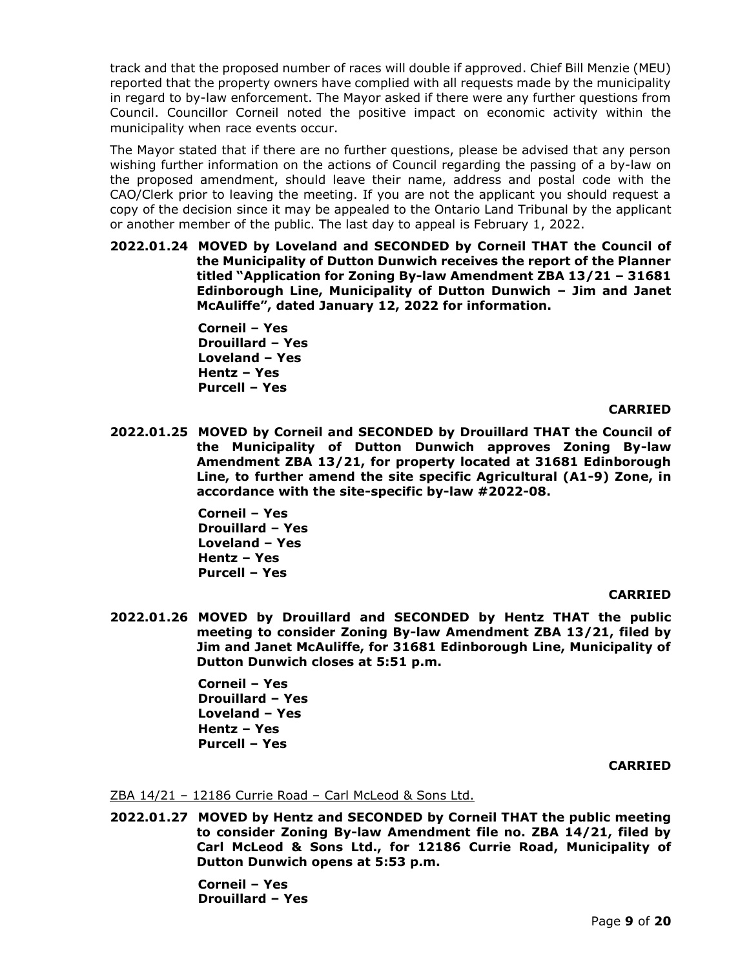track and that the proposed number of races will double if approved. Chief Bill Menzie (MEU) reported that the property owners have complied with all requests made by the municipality in regard to by-law enforcement. The Mayor asked if there were any further questions from Council. Councillor Corneil noted the positive impact on economic activity within the municipality when race events occur.

The Mayor stated that if there are no further questions, please be advised that any person wishing further information on the actions of Council regarding the passing of a by-law on the proposed amendment, should leave their name, address and postal code with the CAO/Clerk prior to leaving the meeting. If you are not the applicant you should request a copy of the decision since it may be appealed to the Ontario Land Tribunal by the applicant or another member of the public. The last day to appeal is February 1, 2022.

**2022.01.24 MOVED by Loveland and SECONDED by Corneil THAT the Council of the Municipality of Dutton Dunwich receives the report of the Planner titled "Application for Zoning By-law Amendment ZBA 13/21 – 31681 Edinborough Line, Municipality of Dutton Dunwich – Jim and Janet McAuliffe", dated January 12, 2022 for information.** 

> **Corneil – Yes Drouillard – Yes Loveland – Yes Hentz – Yes Purcell – Yes**

## **CARRIED**

**2022.01.25 MOVED by Corneil and SECONDED by Drouillard THAT the Council of the Municipality of Dutton Dunwich approves Zoning By-law Amendment ZBA 13/21, for property located at 31681 Edinborough Line, to further amend the site specific Agricultural (A1-9) Zone, in accordance with the site-specific by-law #2022-08.**

> **Corneil – Yes Drouillard – Yes Loveland – Yes Hentz – Yes Purcell – Yes**

## **CARRIED**

**2022.01.26 MOVED by Drouillard and SECONDED by Hentz THAT the public meeting to consider Zoning By-law Amendment ZBA 13/21, filed by Jim and Janet McAuliffe, for 31681 Edinborough Line, Municipality of Dutton Dunwich closes at 5:51 p.m.**

> **Corneil – Yes Drouillard – Yes Loveland – Yes Hentz – Yes Purcell – Yes**

## **CARRIED**

## ZBA 14/21 – 12186 Currie Road – Carl McLeod & Sons Ltd.

**2022.01.27 MOVED by Hentz and SECONDED by Corneil THAT the public meeting to consider Zoning By-law Amendment file no. ZBA 14/21, filed by Carl McLeod & Sons Ltd., for 12186 Currie Road, Municipality of Dutton Dunwich opens at 5:53 p.m.**

> **Corneil – Yes Drouillard – Yes**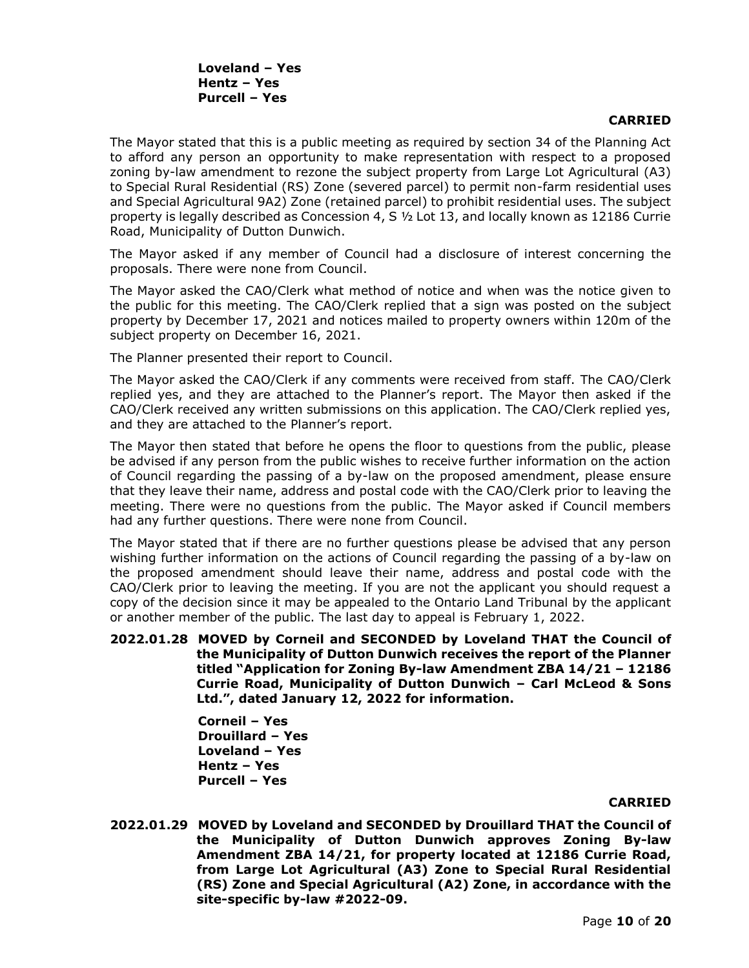# **CARRIED**

The Mayor stated that this is a public meeting as required by section 34 of the Planning Act to afford any person an opportunity to make representation with respect to a proposed zoning by-law amendment to rezone the subject property from Large Lot Agricultural (A3) to Special Rural Residential (RS) Zone (severed parcel) to permit non-farm residential uses and Special Agricultural 9A2) Zone (retained parcel) to prohibit residential uses. The subject property is legally described as Concession 4, S ½ Lot 13, and locally known as 12186 Currie Road, Municipality of Dutton Dunwich.

The Mayor asked if any member of Council had a disclosure of interest concerning the proposals. There were none from Council.

The Mayor asked the CAO/Clerk what method of notice and when was the notice given to the public for this meeting. The CAO/Clerk replied that a sign was posted on the subject property by December 17, 2021 and notices mailed to property owners within 120m of the subject property on December 16, 2021.

The Planner presented their report to Council.

The Mayor asked the CAO/Clerk if any comments were received from staff. The CAO/Clerk replied yes, and they are attached to the Planner's report. The Mayor then asked if the CAO/Clerk received any written submissions on this application. The CAO/Clerk replied yes, and they are attached to the Planner's report.

The Mayor then stated that before he opens the floor to questions from the public, please be advised if any person from the public wishes to receive further information on the action of Council regarding the passing of a by-law on the proposed amendment, please ensure that they leave their name, address and postal code with the CAO/Clerk prior to leaving the meeting. There were no questions from the public. The Mayor asked if Council members had any further questions. There were none from Council.

The Mayor stated that if there are no further questions please be advised that any person wishing further information on the actions of Council regarding the passing of a by-law on the proposed amendment should leave their name, address and postal code with the CAO/Clerk prior to leaving the meeting. If you are not the applicant you should request a copy of the decision since it may be appealed to the Ontario Land Tribunal by the applicant or another member of the public. The last day to appeal is February 1, 2022.

**2022.01.28 MOVED by Corneil and SECONDED by Loveland THAT the Council of the Municipality of Dutton Dunwich receives the report of the Planner titled "Application for Zoning By-law Amendment ZBA 14/21 – 12186 Currie Road, Municipality of Dutton Dunwich – Carl McLeod & Sons Ltd.", dated January 12, 2022 for information.**

> **Corneil – Yes Drouillard – Yes Loveland – Yes Hentz – Yes Purcell – Yes**

## **CARRIED**

**2022.01.29 MOVED by Loveland and SECONDED by Drouillard THAT the Council of the Municipality of Dutton Dunwich approves Zoning By-law Amendment ZBA 14/21, for property located at 12186 Currie Road, from Large Lot Agricultural (A3) Zone to Special Rural Residential (RS) Zone and Special Agricultural (A2) Zone, in accordance with the site-specific by-law #2022-09.**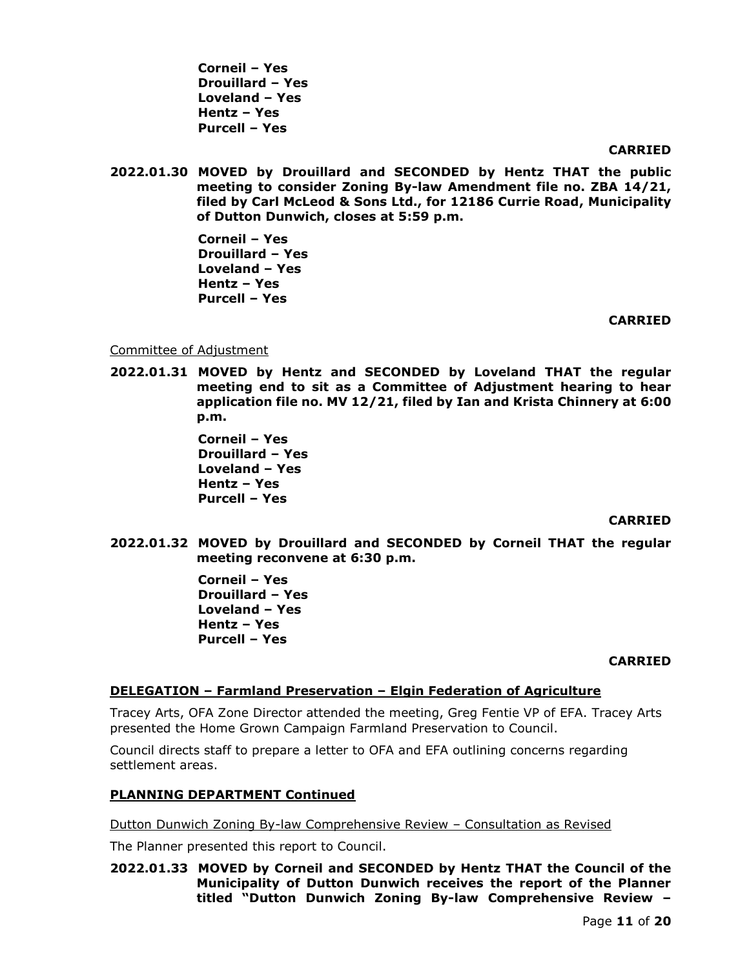**Corneil – Yes Drouillard – Yes Loveland – Yes Hentz – Yes Purcell – Yes** 

## **CARRIED**

**2022.01.30 MOVED by Drouillard and SECONDED by Hentz THAT the public meeting to consider Zoning By-law Amendment file no. ZBA 14/21, filed by Carl McLeod & Sons Ltd., for 12186 Currie Road, Municipality of Dutton Dunwich, closes at 5:59 p.m.**

> **Corneil – Yes Drouillard – Yes Loveland – Yes Hentz – Yes Purcell – Yes**

#### **CARRIED**

Committee of Adjustment

**2022.01.31 MOVED by Hentz and SECONDED by Loveland THAT the regular meeting end to sit as a Committee of Adjustment hearing to hear application file no. MV 12/21, filed by Ian and Krista Chinnery at 6:00 p.m.**

> **Corneil – Yes Drouillard – Yes Loveland – Yes Hentz – Yes Purcell – Yes**

## **CARRIED**

**2022.01.32 MOVED by Drouillard and SECONDED by Corneil THAT the regular meeting reconvene at 6:30 p.m.**

> **Corneil – Yes Drouillard – Yes Loveland – Yes Hentz – Yes Purcell – Yes**

## **CARRIED**

## **DELEGATION – Farmland Preservation – Elgin Federation of Agriculture**

Tracey Arts, OFA Zone Director attended the meeting, Greg Fentie VP of EFA. Tracey Arts presented the Home Grown Campaign Farmland Preservation to Council.

Council directs staff to prepare a letter to OFA and EFA outlining concerns regarding settlement areas.

## **PLANNING DEPARTMENT Continued**

Dutton Dunwich Zoning By-law Comprehensive Review – Consultation as Revised

The Planner presented this report to Council.

# **2022.01.33 MOVED by Corneil and SECONDED by Hentz THAT the Council of the Municipality of Dutton Dunwich receives the report of the Planner titled "Dutton Dunwich Zoning By-law Comprehensive Review –**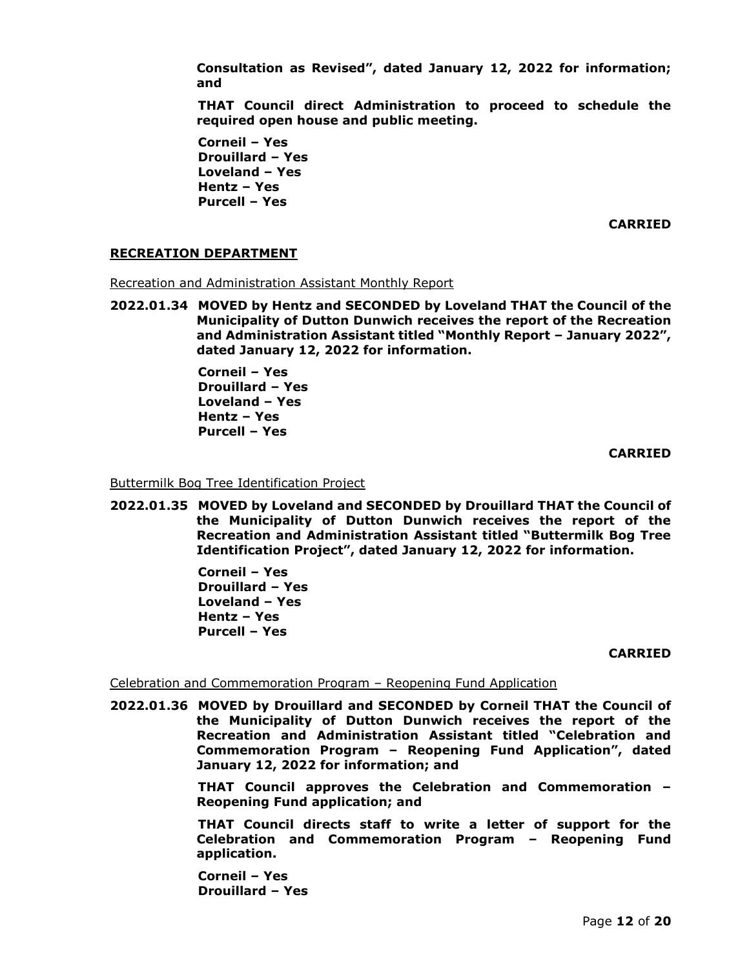**Consultation as Revised", dated January 12, 2022 for information; and**

**THAT Council direct Administration to proceed to schedule the required open house and public meeting.**

**Corneil – Yes Drouillard – Yes Loveland – Yes Hentz – Yes Purcell – Yes** 

**CARRIED**

## **RECREATION DEPARTMENT**

Recreation and Administration Assistant Monthly Report

**2022.01.34 MOVED by Hentz and SECONDED by Loveland THAT the Council of the Municipality of Dutton Dunwich receives the report of the Recreation and Administration Assistant titled "Monthly Report – January 2022", dated January 12, 2022 for information.** 

> **Corneil – Yes Drouillard – Yes Loveland – Yes Hentz – Yes Purcell – Yes**

> > **CARRIED**

Buttermilk Bog Tree Identification Project

**2022.01.35 MOVED by Loveland and SECONDED by Drouillard THAT the Council of the Municipality of Dutton Dunwich receives the report of the Recreation and Administration Assistant titled "Buttermilk Bog Tree Identification Project", dated January 12, 2022 for information.** 

> **Corneil – Yes Drouillard – Yes Loveland – Yes Hentz – Yes Purcell – Yes**

> > **CARRIED**

## Celebration and Commemoration Program – Reopening Fund Application

**2022.01.36 MOVED by Drouillard and SECONDED by Corneil THAT the Council of the Municipality of Dutton Dunwich receives the report of the Recreation and Administration Assistant titled "Celebration and Commemoration Program – Reopening Fund Application", dated January 12, 2022 for information; and**

> **THAT Council approves the Celebration and Commemoration – Reopening Fund application; and**

> **THAT Council directs staff to write a letter of support for the Celebration and Commemoration Program – Reopening Fund application.**

**Corneil – Yes Drouillard – Yes**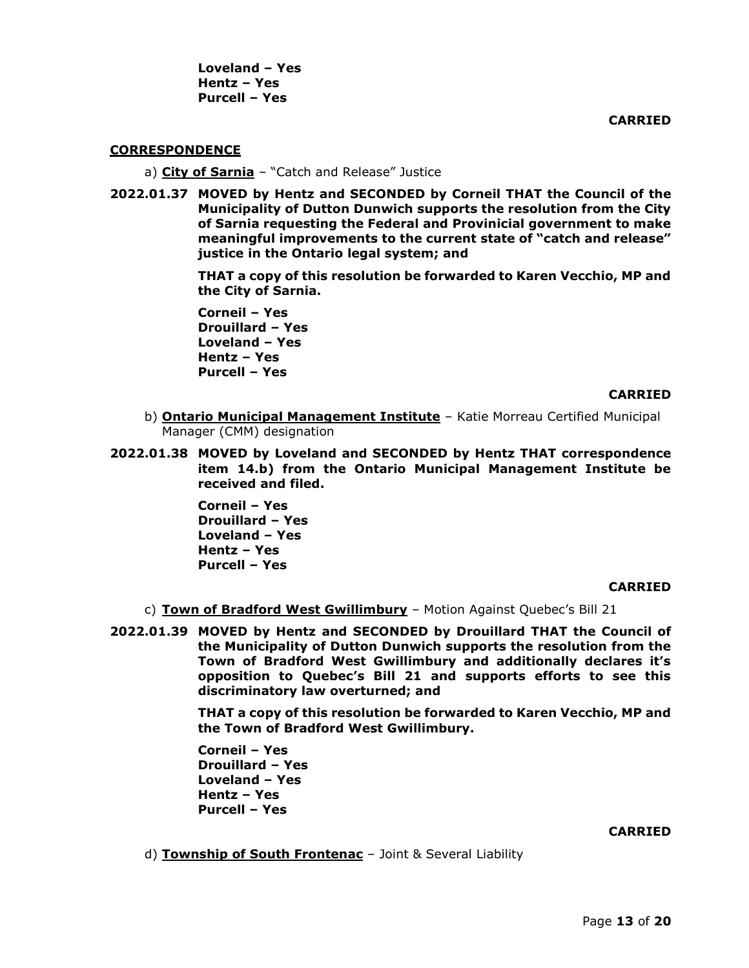**Loveland – Yes Hentz – Yes Purcell – Yes** 

**CARRIED**

#### **CORRESPONDENCE**

- a) **City of Sarnia** "Catch and Release" Justice
- **2022.01.37 MOVED by Hentz and SECONDED by Corneil THAT the Council of the Municipality of Dutton Dunwich supports the resolution from the City of Sarnia requesting the Federal and Provinicial government to make meaningful improvements to the current state of "catch and release" justice in the Ontario legal system; and**

**THAT a copy of this resolution be forwarded to Karen Vecchio, MP and the City of Sarnia.** 

**Corneil – Yes Drouillard – Yes Loveland – Yes Hentz – Yes Purcell – Yes** 

#### **CARRIED**

- b) **Ontario Municipal Management Institute** Katie Morreau Certified Municipal Manager (CMM) designation
- **2022.01.38 MOVED by Loveland and SECONDED by Hentz THAT correspondence item 14.b) from the Ontario Municipal Management Institute be received and filed.**

**Corneil – Yes Drouillard – Yes Loveland – Yes Hentz – Yes Purcell – Yes**

#### **CARRIED**

- c) **Town of Bradford West Gwillimbury** Motion Against Quebec's Bill 21
- **2022.01.39 MOVED by Hentz and SECONDED by Drouillard THAT the Council of the Municipality of Dutton Dunwich supports the resolution from the Town of Bradford West Gwillimbury and additionally declares it's opposition to Quebec's Bill 21 and supports efforts to see this discriminatory law overturned; and**

**THAT a copy of this resolution be forwarded to Karen Vecchio, MP and the Town of Bradford West Gwillimbury.**

**Corneil – Yes Drouillard – Yes Loveland – Yes Hentz – Yes Purcell – Yes**

#### **CARRIED**

d) **Township of South Frontenac** – Joint & Several Liability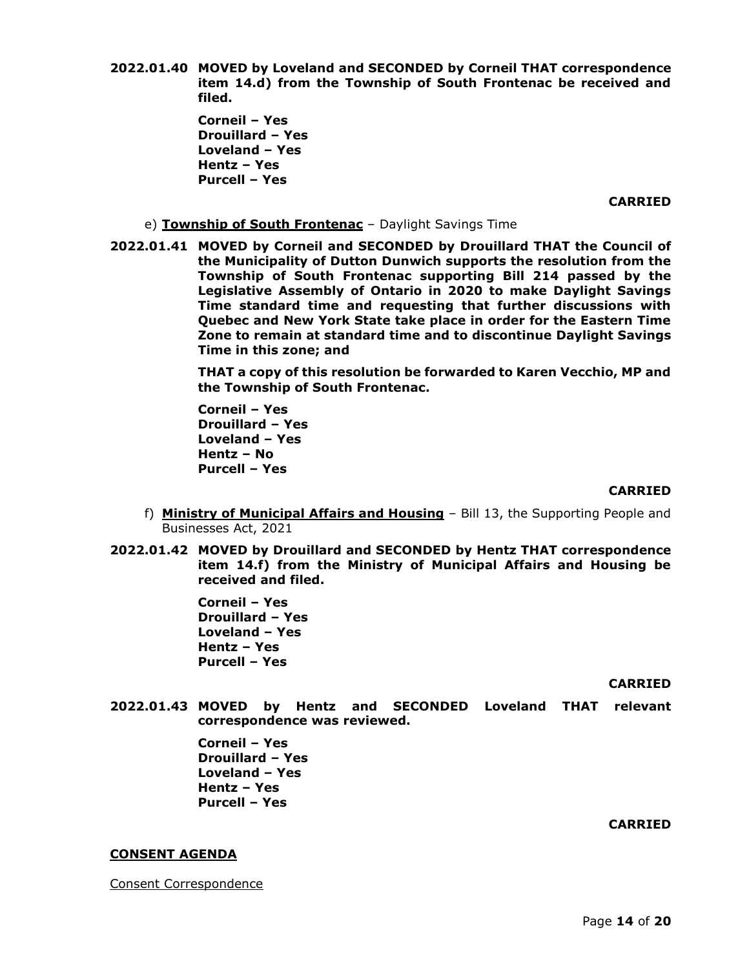**2022.01.40 MOVED by Loveland and SECONDED by Corneil THAT correspondence item 14.d) from the Township of South Frontenac be received and filed.**

> **Corneil – Yes Drouillard – Yes Loveland – Yes Hentz – Yes Purcell – Yes**

> > **CARRIED**

- e) **Township of South Frontenac** Daylight Savings Time
- **2022.01.41 MOVED by Corneil and SECONDED by Drouillard THAT the Council of the Municipality of Dutton Dunwich supports the resolution from the Township of South Frontenac supporting Bill 214 passed by the Legislative Assembly of Ontario in 2020 to make Daylight Savings Time standard time and requesting that further discussions with Quebec and New York State take place in order for the Eastern Time Zone to remain at standard time and to discontinue Daylight Savings Time in this zone; and**

**THAT a copy of this resolution be forwarded to Karen Vecchio, MP and the Township of South Frontenac.**

**Corneil – Yes Drouillard – Yes Loveland – Yes Hentz – No Purcell – Yes** 

#### **CARRIED**

- f) **Ministry of Municipal Affairs and Housing** Bill 13, the Supporting People and Businesses Act, 2021
- **2022.01.42 MOVED by Drouillard and SECONDED by Hentz THAT correspondence item 14.f) from the Ministry of Municipal Affairs and Housing be received and filed.**

**Corneil – Yes Drouillard – Yes Loveland – Yes Hentz – Yes Purcell – Yes** 

**CARRIED**

**2022.01.43 MOVED by Hentz and SECONDED Loveland THAT relevant correspondence was reviewed.**

> **Corneil – Yes Drouillard – Yes Loveland – Yes Hentz – Yes Purcell – Yes**

#### **CARRIED**

#### **CONSENT AGENDA**

Consent Correspondence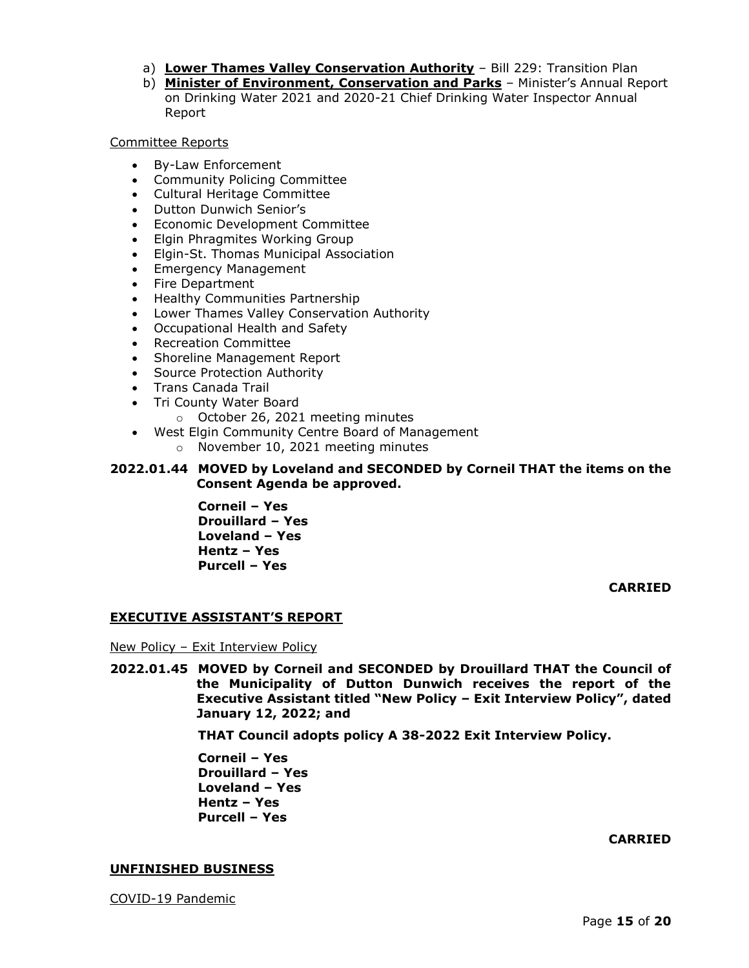- a) **Lower Thames Valley Conservation Authority** Bill 229: Transition Plan
- b) **Minister of Environment, Conservation and Parks** Minister's Annual Report on Drinking Water 2021 and 2020-21 Chief Drinking Water Inspector Annual Report

## Committee Reports

- By-Law Enforcement
- Community Policing Committee
- Cultural Heritage Committee
- Dutton Dunwich Senior's
- Economic Development Committee
- Elgin Phragmites Working Group
- Elgin-St. Thomas Municipal Association
- Emergency Management
- Fire Department
- Healthy Communities Partnership
- Lower Thames Valley Conservation Authority
- Occupational Health and Safety
- Recreation Committee
- Shoreline Management Report
- Source Protection Authority
- Trans Canada Trail
- Tri County Water Board
	- o October 26, 2021 meeting minutes
- West Elgin Community Centre Board of Management
	- o November 10, 2021 meeting minutes

# **2022.01.44 MOVED by Loveland and SECONDED by Corneil THAT the items on the Consent Agenda be approved.**

**Corneil – Yes Drouillard – Yes Loveland – Yes Hentz – Yes Purcell – Yes** 

**CARRIED**

## **EXECUTIVE ASSISTANT'S REPORT**

New Policy – Exit Interview Policy

**2022.01.45 MOVED by Corneil and SECONDED by Drouillard THAT the Council of the Municipality of Dutton Dunwich receives the report of the Executive Assistant titled "New Policy – Exit Interview Policy", dated January 12, 2022; and**

**THAT Council adopts policy A 38-2022 Exit Interview Policy.**

**Corneil – Yes Drouillard – Yes Loveland – Yes Hentz – Yes Purcell – Yes** 

**CARRIED**

#### **UNFINISHED BUSINESS**

COVID-19 Pandemic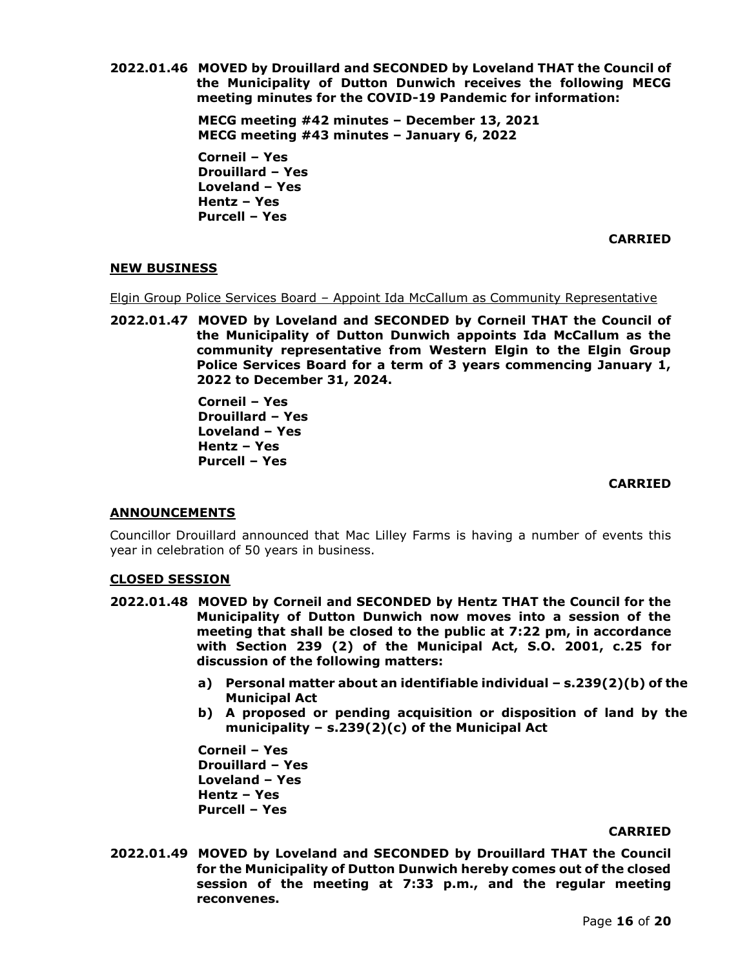**2022.01.46 MOVED by Drouillard and SECONDED by Loveland THAT the Council of the Municipality of Dutton Dunwich receives the following MECG meeting minutes for the COVID-19 Pandemic for information:**

> **MECG meeting #42 minutes – December 13, 2021 MECG meeting #43 minutes – January 6, 2022**

**Corneil – Yes Drouillard – Yes Loveland – Yes Hentz – Yes Purcell – Yes** 

**CARRIED**

## **NEW BUSINESS**

Elgin Group Police Services Board - Appoint Ida McCallum as Community Representative

**2022.01.47 MOVED by Loveland and SECONDED by Corneil THAT the Council of the Municipality of Dutton Dunwich appoints Ida McCallum as the community representative from Western Elgin to the Elgin Group Police Services Board for a term of 3 years commencing January 1, 2022 to December 31, 2024.**

> **Corneil – Yes Drouillard – Yes Loveland – Yes Hentz – Yes Purcell – Yes**

## **CARRIED**

## **ANNOUNCEMENTS**

Councillor Drouillard announced that Mac Lilley Farms is having a number of events this year in celebration of 50 years in business.

## **CLOSED SESSION**

- **2022.01.48 MOVED by Corneil and SECONDED by Hentz THAT the Council for the Municipality of Dutton Dunwich now moves into a session of the meeting that shall be closed to the public at 7:22 pm, in accordance with Section 239 (2) of the Municipal Act, S.O. 2001, c.25 for discussion of the following matters:**
	- **a) Personal matter about an identifiable individual – s.239(2)(b) of the Municipal Act**
	- **b) A proposed or pending acquisition or disposition of land by the municipality – s.239(2)(c) of the Municipal Act**

**Corneil – Yes Drouillard – Yes Loveland – Yes Hentz – Yes Purcell – Yes**

#### **CARRIED**

**2022.01.49 MOVED by Loveland and SECONDED by Drouillard THAT the Council for the Municipality of Dutton Dunwich hereby comes out of the closed session of the meeting at 7:33 p.m., and the regular meeting reconvenes.**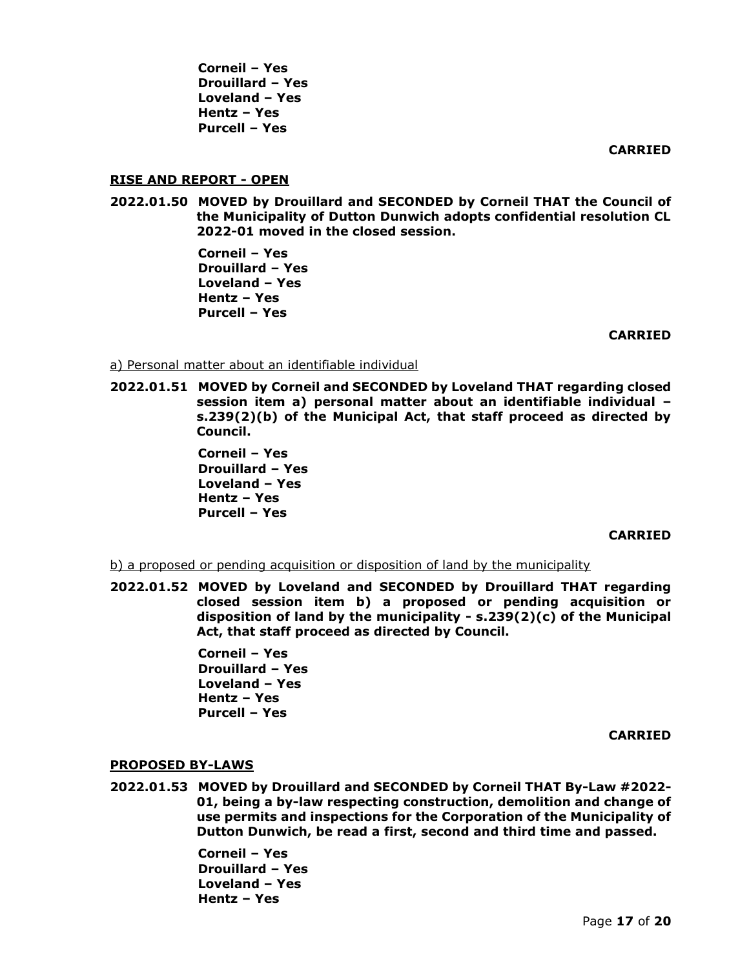**Corneil – Yes Drouillard – Yes Loveland – Yes Hentz – Yes Purcell – Yes** 

**CARRIED**

## **RISE AND REPORT - OPEN**

**2022.01.50 MOVED by Drouillard and SECONDED by Corneil THAT the Council of the Municipality of Dutton Dunwich adopts confidential resolution CL 2022-01 moved in the closed session.**

> **Corneil – Yes Drouillard – Yes Loveland – Yes Hentz – Yes Purcell – Yes**

> > **CARRIED**

## a) Personal matter about an identifiable individual

**2022.01.51 MOVED by Corneil and SECONDED by Loveland THAT regarding closed session item a) personal matter about an identifiable individual – s.239(2)(b) of the Municipal Act, that staff proceed as directed by Council.** 

> **Corneil – Yes Drouillard – Yes Loveland – Yes Hentz – Yes Purcell – Yes**

## **CARRIED**

b) a proposed or pending acquisition or disposition of land by the municipality

**2022.01.52 MOVED by Loveland and SECONDED by Drouillard THAT regarding closed session item b) a proposed or pending acquisition or disposition of land by the municipality - s.239(2)(c) of the Municipal Act, that staff proceed as directed by Council.** 

> **Corneil – Yes Drouillard – Yes Loveland – Yes Hentz – Yes Purcell – Yes**

> > **CARRIED**

## **PROPOSED BY-LAWS**

**2022.01.53 MOVED by Drouillard and SECONDED by Corneil THAT By-Law #2022- 01, being a by-law respecting construction, demolition and change of use permits and inspections for the Corporation of the Municipality of Dutton Dunwich, be read a first, second and third time and passed.**

> **Corneil – Yes Drouillard – Yes Loveland – Yes Hentz – Yes**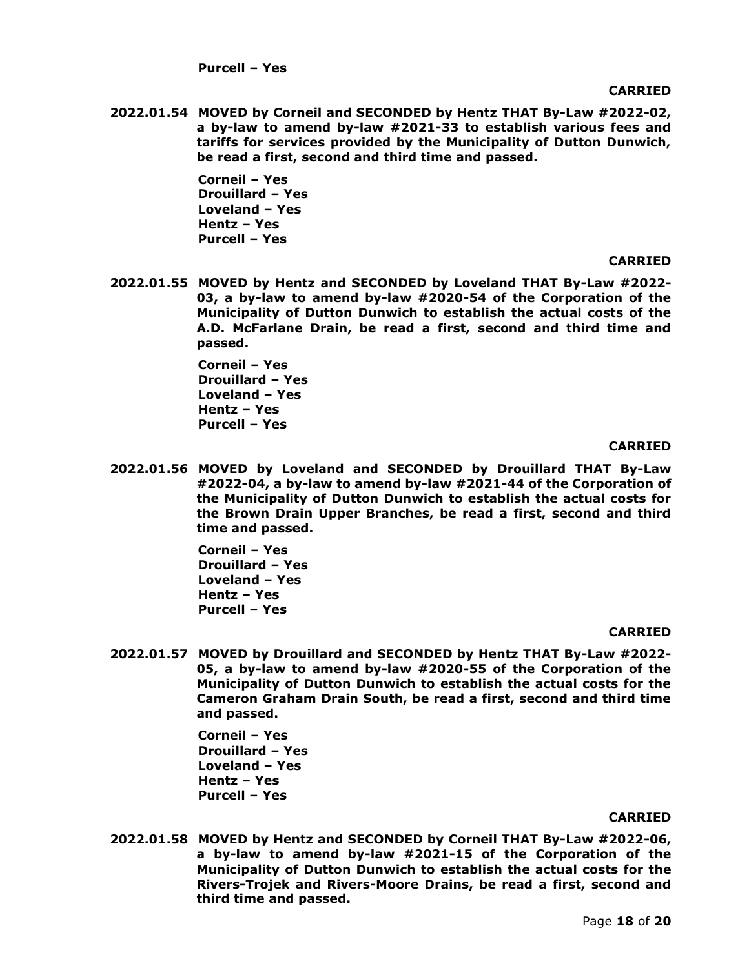**Purcell – Yes** 

#### **CARRIED**

**2022.01.54 MOVED by Corneil and SECONDED by Hentz THAT By-Law #2022-02, a by-law to amend by-law #2021-33 to establish various fees and tariffs for services provided by the Municipality of Dutton Dunwich, be read a first, second and third time and passed.**

> **Corneil – Yes Drouillard – Yes Loveland – Yes Hentz – Yes Purcell – Yes**

#### **CARRIED**

**2022.01.55 MOVED by Hentz and SECONDED by Loveland THAT By-Law #2022- 03, a by-law to amend by-law #2020-54 of the Corporation of the Municipality of Dutton Dunwich to establish the actual costs of the A.D. McFarlane Drain, be read a first, second and third time and passed.**

> **Corneil – Yes Drouillard – Yes Loveland – Yes Hentz – Yes Purcell – Yes**

#### **CARRIED**

**2022.01.56 MOVED by Loveland and SECONDED by Drouillard THAT By-Law #2022-04, a by-law to amend by-law #2021-44 of the Corporation of the Municipality of Dutton Dunwich to establish the actual costs for the Brown Drain Upper Branches, be read a first, second and third time and passed.**

> **Corneil – Yes Drouillard – Yes Loveland – Yes Hentz – Yes Purcell – Yes**

## **CARRIED**

**2022.01.57 MOVED by Drouillard and SECONDED by Hentz THAT By-Law #2022- 05, a by-law to amend by-law #2020-55 of the Corporation of the Municipality of Dutton Dunwich to establish the actual costs for the Cameron Graham Drain South, be read a first, second and third time and passed.** 

> **Corneil – Yes Drouillard – Yes Loveland – Yes Hentz – Yes Purcell – Yes**

#### **CARRIED**

**2022.01.58 MOVED by Hentz and SECONDED by Corneil THAT By-Law #2022-06, a by-law to amend by-law #2021-15 of the Corporation of the Municipality of Dutton Dunwich to establish the actual costs for the Rivers-Trojek and Rivers-Moore Drains, be read a first, second and third time and passed.**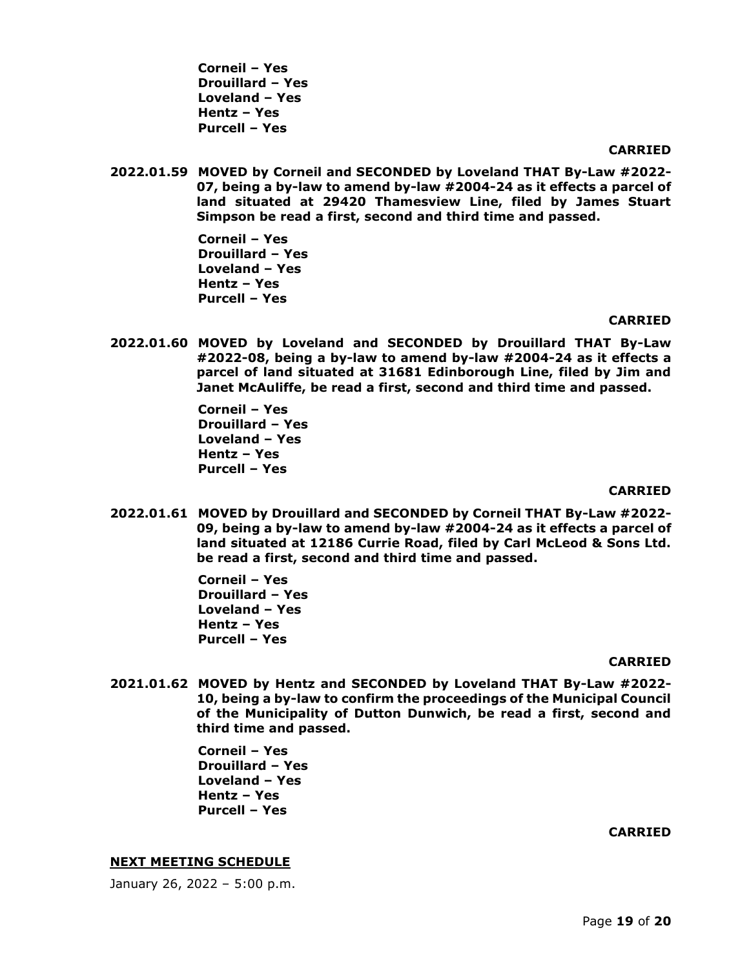**Corneil – Yes Drouillard – Yes Loveland – Yes Hentz – Yes Purcell – Yes** 

#### **CARRIED**

**2022.01.59 MOVED by Corneil and SECONDED by Loveland THAT By-Law #2022- 07, being a by-law to amend by-law #2004-24 as it effects a parcel of land situated at 29420 Thamesview Line, filed by James Stuart Simpson be read a first, second and third time and passed.**

> **Corneil – Yes Drouillard – Yes Loveland – Yes Hentz – Yes Purcell – Yes**

#### **CARRIED**

**2022.01.60 MOVED by Loveland and SECONDED by Drouillard THAT By-Law #2022-08, being a by-law to amend by-law #2004-24 as it effects a parcel of land situated at 31681 Edinborough Line, filed by Jim and Janet McAuliffe, be read a first, second and third time and passed.**

> **Corneil – Yes Drouillard – Yes Loveland – Yes Hentz – Yes Purcell – Yes**

#### **CARRIED**

**2022.01.61 MOVED by Drouillard and SECONDED by Corneil THAT By-Law #2022- 09, being a by-law to amend by-law #2004-24 as it effects a parcel of land situated at 12186 Currie Road, filed by Carl McLeod & Sons Ltd. be read a first, second and third time and passed.**

> **Corneil – Yes Drouillard – Yes Loveland – Yes Hentz – Yes Purcell – Yes**

#### **CARRIED**

**2021.01.62 MOVED by Hentz and SECONDED by Loveland THAT By-Law #2022- 10, being a by-law to confirm the proceedings of the Municipal Council of the Municipality of Dutton Dunwich, be read a first, second and third time and passed.**

> **Corneil – Yes Drouillard – Yes Loveland – Yes Hentz – Yes Purcell – Yes**

#### **CARRIED**

#### **NEXT MEETING SCHEDULE**

January 26, 2022 – 5:00 p.m.